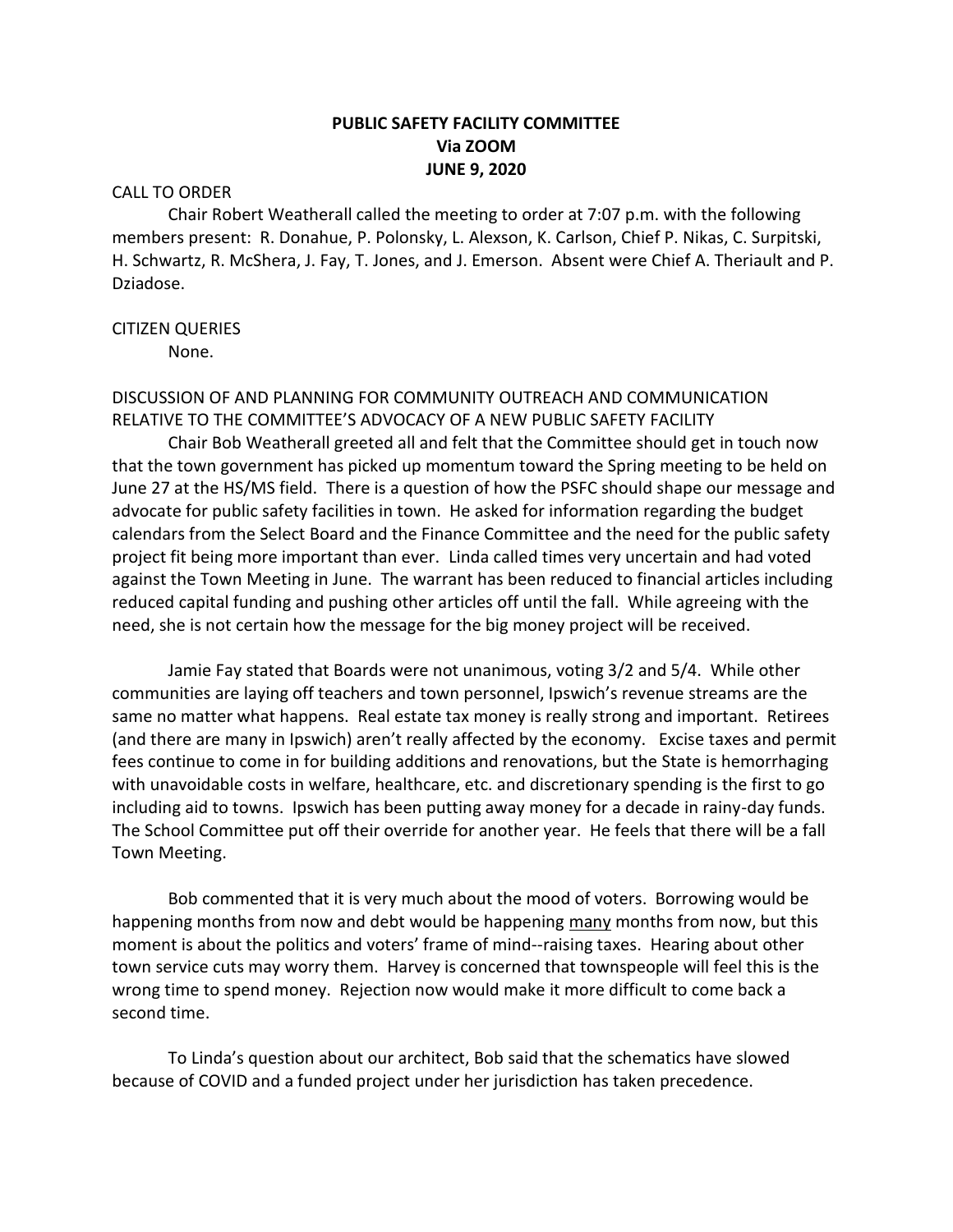# **PUBLIC SAFETY FACILITY COMMITTEE Via ZOOM JUNE 9, 2020**

## CALL TO ORDER

Chair Robert Weatherall called the meeting to order at 7:07 p.m. with the following members present: R. Donahue, P. Polonsky, L. Alexson, K. Carlson, Chief P. Nikas, C. Surpitski, H. Schwartz, R. McShera, J. Fay, T. Jones, and J. Emerson. Absent were Chief A. Theriault and P. Dziadose.

## CITIZEN QUERIES

None.

## DISCUSSION OF AND PLANNING FOR COMMUNITY OUTREACH AND COMMUNICATION RELATIVE TO THE COMMITTEE'S ADVOCACY OF A NEW PUBLIC SAFETY FACILITY

Chair Bob Weatherall greeted all and felt that the Committee should get in touch now that the town government has picked up momentum toward the Spring meeting to be held on June 27 at the HS/MS field. There is a question of how the PSFC should shape our message and advocate for public safety facilities in town. He asked for information regarding the budget calendars from the Select Board and the Finance Committee and the need for the public safety project fit being more important than ever. Linda called times very uncertain and had voted against the Town Meeting in June. The warrant has been reduced to financial articles including reduced capital funding and pushing other articles off until the fall. While agreeing with the need, she is not certain how the message for the big money project will be received.

Jamie Fay stated that Boards were not unanimous, voting 3/2 and 5/4. While other communities are laying off teachers and town personnel, Ipswich's revenue streams are the same no matter what happens. Real estate tax money is really strong and important. Retirees (and there are many in Ipswich) aren't really affected by the economy. Excise taxes and permit fees continue to come in for building additions and renovations, but the State is hemorrhaging with unavoidable costs in welfare, healthcare, etc. and discretionary spending is the first to go including aid to towns. Ipswich has been putting away money for a decade in rainy-day funds. The School Committee put off their override for another year. He feels that there will be a fall Town Meeting.

Bob commented that it is very much about the mood of voters. Borrowing would be happening months from now and debt would be happening many months from now, but this moment is about the politics and voters' frame of mind--raising taxes. Hearing about other town service cuts may worry them. Harvey is concerned that townspeople will feel this is the wrong time to spend money. Rejection now would make it more difficult to come back a second time.

To Linda's question about our architect, Bob said that the schematics have slowed because of COVID and a funded project under her jurisdiction has taken precedence.